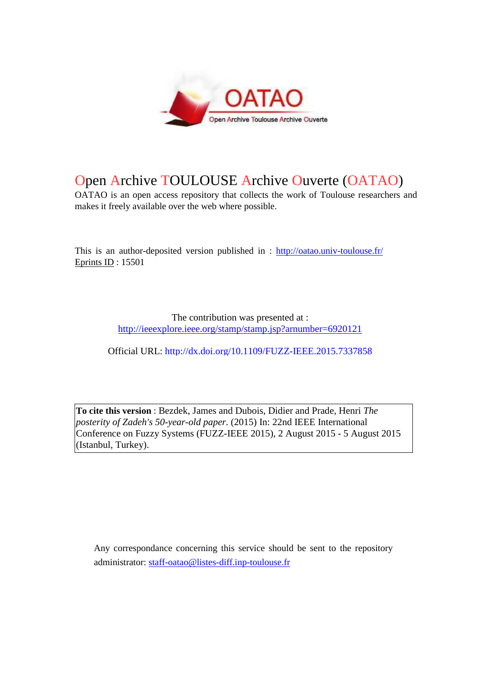

# Open Archive TOULOUSE Archive Ouverte (OATAO)

OATAO is an open access repository that collects the work of Toulouse researchers and makes it freely available over the web where possible.

This is an author-deposited version published in : http://oatao.univ-toulouse.fr/ Eprints ID : 15501

> The contribution was presented at : http://ieeexplore.ieee.org/stamp/stamp.jsp?arnumber=6920121

Official URL: http://dx.doi.org/10.1109/FUZZ-IEEE.2015.7337858

**To cite this version** : Bezdek, James and Dubois, Didier and Prade, Henri *The posterity of Zadeh's 50-year-old paper.* (2015) In: 22nd IEEE International Conference on Fuzzy Systems (FUZZ-IEEE 2015), 2 August 2015 - 5 August 2015 (Istanbul, Turkey).

Any correspondance concerning this service should be sent to the repository administrator: staff-oatao@listes-diff.inp-toulouse.fr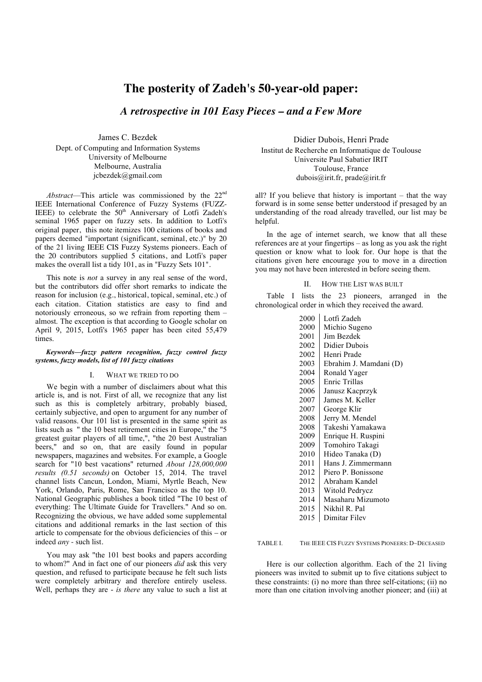## **The posterity of Zadeh's 50-year-old paper:**

*A retrospective in 101 Easy Pieces – and a Few More*

James C. Bezdek Dept. of Computing and Information Systems University of Melbourne Melbourne, Australia jcbezdek@gmail.com

*Abstract*—This article was commissioned by the 22nd IEEE International Conference of Fuzzy Systems (FUZZ-IEEE) to celebrate the  $50<sup>th</sup>$  Anniversary of Lotfi Zadeh's seminal 1965 paper on fuzzy sets. In addition to Lotfi's original paper, this note itemizes 100 citations of books and papers deemed "important (significant, seminal, etc.)" by 20 of the 21 living IEEE CIS Fuzzy Systems pioneers. Each of the 20 contributors supplied 5 citations, and Lotfi's paper makes the overall list a tidy 101, as in "Fuzzy Sets 101".

This note is *not* a survey in any real sense of the word, but the contributors did offer short remarks to indicate the reason for inclusion (e.g., historical, topical, seminal, etc.) of each citation. Citation statistics are easy to find and notoriously erroneous, so we refrain from reporting them – almost. The exception is that according to Google scholar on April 9, 2015, Lotfi's 1965 paper has been cited 55,479 times.

#### *Keywords—fuzzy pattern recognition, fuzzy control fuzzy systems, fuzzy models, list of 101 fuzzy citations*

#### WHAT WE TRIED TO DO

We begin with a number of disclaimers about what this article is, and is not. First of all, we recognize that any list such as this is completely arbitrary, probably biased, certainly subjective, and open to argument for any number of valid reasons. Our 101 list is presented in the same spirit as lists such as " the 10 best retirement cities in Europe," the "5 greatest guitar players of all time,", "the 20 best Australian beers," and so on, that are easily found in popular newspapers, magazines and websites. For example, a Google search for "10 best vacations" returned *About 128,000,000 results (0.51 seconds)* on October 15, 2014. The travel channel lists Cancun, London, Miami, Myrtle Beach, New York, Orlando, Paris, Rome, San Francisco as the top 10. National Geographic publishes a book titled "The 10 best of everything: The Ultimate Guide for Travellers." And so on. Recognizing the obvious, we have added some supplemental citations and additional remarks in the last section of this article to compensate for the obvious deficiencies of this – or indeed *any* - such list.

You may ask "the 101 best books and papers according to whom?" And in fact one of our pioneers *did* ask this very question, and refused to participate because he felt such lists were completely arbitrary and therefore entirely useless. Well, perhaps they are - *is there* any value to such a list at

Didier Dubois, Henri Prade Institut de Recherche en Informatique de Toulouse Universite Paul Sabatier IRIT Toulouse, France dubois@irit.fr, prade@irit.fr

all? If you believe that history is important – that the way forward is in some sense better understood if presaged by an understanding of the road already travelled, our list may be helpful.

In the age of internet search, we know that all these references are at your fingertips – as long as you ask the right question or know what to look for. Our hope is that the citations given here encourage you to move in a direction you may not have been interested in before seeing them.

#### II. HOW THE LIST WAS BUILT

Table I lists the 23 pioneers, arranged in the chronological order in which they received the award.

| 2000 | Lotfi Zadeh            |
|------|------------------------|
| 2000 | Michio Sugeno          |
| 2001 | Jim Bezdek             |
| 2002 | Didier Dubois          |
| 2002 | Henri Prade            |
| 2003 | Ebrahim J. Mamdani (D) |
| 2004 | Ronald Yager           |
| 2005 | Enric Trillas          |
| 2006 | Janusz Kacprzyk        |
| 2007 | James M. Keller        |
| 2007 | George Klir            |
| 2008 | Jerry M. Mendel        |
| 2008 | Takeshi Yamakawa       |
| 2009 | Enrique H. Ruspini     |
| 2009 | Tomohiro Takagi        |
| 2010 | Hideo Tanaka (D)       |
| 2011 | Hans J. Zimmermann     |
| 2012 | Piero P. Bonissone     |
| 2012 | Abraham Kandel         |
| 2013 | Witold Pedrycz         |
| 2014 | Masaharu Mizumoto      |
| 2015 | Nikhil R. Pal          |
| 2015 | Dimitar Filev          |

TABLE I. THE IEEE CIS FUZZY SYSTEMS PIONEERS: D~DECEASED

Here is our collection algorithm. Each of the 21 living pioneers was invited to submit up to five citations subject to these constraints: (i) no more than three self-citations; (ii) no more than one citation involving another pioneer; and (iii) at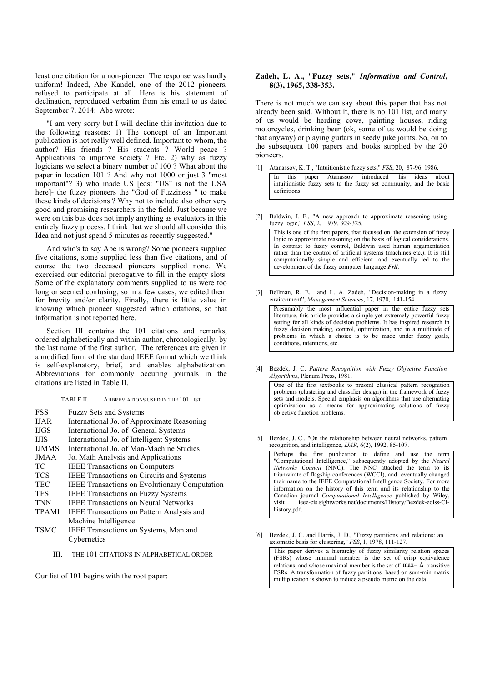least one citation for a non-pioneer. The response was hardly uniform! Indeed, Abe Kandel, one of the 2012 pioneers, refused to participate at all. Here is his statement of declination, reproduced verbatim from his email to us dated September 7. 2014: Abe wrote:

"I am very sorry but I will decline this invitation due to the following reasons: 1) The concept of an Important publication is not really well defined. Important to whom, the author? His friends ? His students ? World peace ? Applications to improve society ? Etc. 2) why as fuzzy logicians we select a binary number of 100 ? What about the paper in location 101 ? And why not 1000 or just 3 "most important"? 3) who made US [eds: "US" is not the USA here]- the fuzzy pioneers the "God of Fuzziness " to make these kinds of decisions ? Why not to include also other very good and promising researchers in the field. Just because we were on this bus does not imply anything as evaluators in this entirely fuzzy process. I think that we should all consider this Idea and not just spend 5 minutes as recently suggested."

And who's to say Abe is wrong? Some pioneers supplied five citations, some supplied less than five citations, and of course the two deceased pioneers supplied none. We exercised our editorial prerogative to fill in the empty slots. Some of the explanatory comments supplied to us were too long or seemed confusing, so in a few cases, we edited them for brevity and/or clarity. Finally, there is little value in knowing which pioneer suggested which citations, so that information is not reported here.

Section III contains the 101 citations and remarks, ordered alphabetically and within author, chronologically, by the last name of the first author. The references are given in a modified form of the standard IEEE format which we think is self-explanatory, brief, and enables alphabetization. Abbreviations for commonly occuring journals in the citations are listed in Table II.

TABLE II. ABBREVIATIONS USED IN THE 101 LIST

| <b>FSS</b>   | <b>Fuzzy Sets and Systems</b>                        |
|--------------|------------------------------------------------------|
| <b>IJAR</b>  | International Jo. of Approximate Reasoning           |
| <b>IJGS</b>  | International Jo. of General Systems                 |
| <b>LIIS</b>  | International Jo. of Intelligent Systems             |
| <b>IJMMS</b> | International Jo. of Man-Machine Studies             |
| <b>JMAA</b>  | Jo. Math Analysis and Applications                   |
| TC.          | <b>IEEE Transactions on Computers</b>                |
| <b>TCS</b>   | <b>IEEE Transactions on Circuits and Systems</b>     |
| <b>TEC</b>   | <b>IEEE Transactions on Evolutionary Computation</b> |
| <b>TFS</b>   | <b>IEEE Transactions on Fuzzy Systems</b>            |
| <b>TNN</b>   | <b>IEEE Transactions on Neural Networks</b>          |
| <b>TPAMI</b> | <b>IEEE</b> Transactions on Pattern Analysis and     |
|              | Machine Intelligence                                 |
| <b>TSMC</b>  | IEEE Transactions on Systems, Man and                |
|              | Cybernetics                                          |

III. THE 101 CITATIONS IN ALPHABETICAL ORDER

Our list of 101 begins with the root paper:

#### **Zadeh, L. A., "Fuzzy sets,"** *Information and Control***, 8(3), 1965, 338-353.**

There is not much we can say about this paper that has not already been said. Without it, there is no 101 list, and many of us would be herding cows, painting houses, riding motorcycles, drinking beer (ok, some of us would be doing that anyway) or playing guitars in seedy juke joints. So, on to the subsequent 100 papers and books supplied by the 20 pioneers.

- [1] Atanassov, K. T., "Intuitionistic fuzzy sets," *FSS*, 20, 87-96, 1986. In this paper Atanassov introduced his ideas about intuitionistic fuzzy sets to the fuzzy set community, and the basic definitions.
- [2] Baldwin, J. F., "A new approach to approximate reasoning using fuzzy logic," *FSS*, 2, 1979, 309-325. This is one of the first papers, that focused on the extension of fuzzy logic to approximate reasoning on the basis of logical considerations. In contrast to fuzzy control, Baldwin used human argumentation

development of the fuzzy computer language *Fril*. [3] Bellman, R. E. and L. A. Zadeh, "Decision-making in a fuzzy environment", *Management Sciences*, 17, 1970, 141-154. Presumably the most influential paper in the entire fuzzy sets

rather than the control of artificial systems (machines etc.). It is still computationally simple and efficient and eventually led to the

literature, this article provides a simple yet extremely powerful fuzzy setting for all kinds of decision problems. It has inspired research in fuzzy decision making, control, optimization, and in a multitude of problems in which a choice is to be made under fuzzy goals, conditions, intentions, etc.

[4] Bezdek, J. C. *Pattern Recognition with Fuzzy Objective Function Algorithms*, Plenum Press, 1981.

One of the first textbooks to present classical pattern recognition problems (clustering and classifier design) in the framework of fuzzy sets and models. Special emphasis on algorithms that use alternating optimization as a means for approximating solutions of fuzzy objective function problems.

[5] Bezdek, J. C., "On the relationship between neural networks, pattern recognition, and intelligence, *IJAR*, 6(2), 1992, 85-107.

Perhaps the first publication to define and use the term "Computational Intelligence," subsequently adopted by the *Neural Networks Council* (NNC). The NNC attached the term to its triumvirate of flagship conferences (WCCI), and eventually changed their name to the IEEE Computational Intelligence Society. For more information on the history of this term and its relationship to the Canadian journal *Computational Intelligence* published by Wiley, ieee-cis.sightworks.net/documents/History/Bezdek-eolss-CIhistory.pdf.

[6] Bezdek, J. C. and Harris, J. D., "Fuzzy partitions and relations: an axiomatic basis for clustering," *FSS*, 1, 1978, 111-127.

This paper derives a hierarchy of fuzzy similarity relation spaces (FSRs) whose minimal member is the set of crisp equivalence relations, and whose maximal member is the set of  $\max - \Delta$  transitive FSRs. A transformation of fuzzy partitions based on sum-min matrix multiplication is shown to induce a pseudo metric on the data.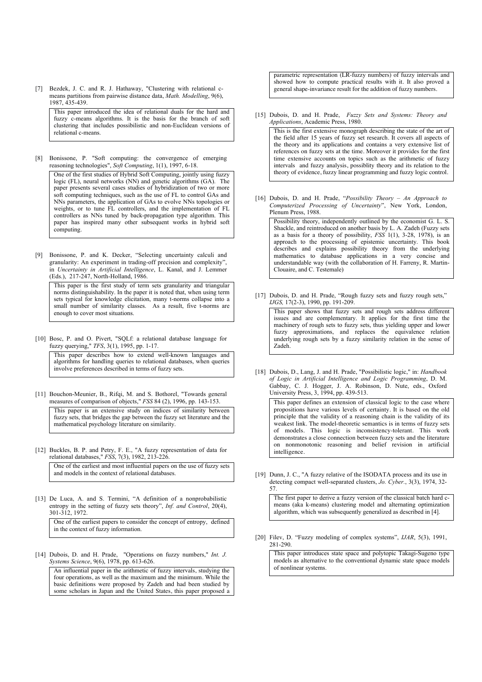[7] Bezdek, J. C. and R. J. Hathaway, "Clustering with relational cmeans partitions from pairwise distance data, *Math. Modelling*, 9(6), 1987, 435-439.

This paper introduced the idea of relational duals for the hard and fuzzy c-means algorithms. It is the basis for the branch of soft clustering that includes possibilistic and non-Euclidean versions of relational c-means.

[8] Bonissone, P. "Soft computing: the convergence of emerging reasoning technologies", *Soft Computing*, 1(1), 1997, 6-18.

One of the first studies of Hybrid Soft Computing, jointly using fuzzy logic (FL), neural networks (NN) and genetic algorithms (GA). The paper presents several cases studies of hybridization of two or more soft computing techniques, such as the use of FL to control GAs and NNs parameters, the application of GAs to evolve NNs topologies or weights, or to tune FL controllers, and the implementation of FL controllers as NNs tuned by back-propagation type algorithm. This paper has inspired many other subsequent works in hybrid soft computing.

[9] Bonissone, P. and K. Decker, "Selecting uncertainty calculi and granularity: An experiment in trading-off precision and complexity", in *Uncertainty in Artificial Intelligence*, L. Kanal, and J. Lemmer (Eds.), 217-247, North-Holland, 1986.

This paper is the first study of term sets granularity and triangular norms distinguishability. In the paper it is noted that, when using term sets typical for knowledge elicitation, many t-norms collapse into a small number of similarity classes. As a result, five t-norms are enough to cover most situations.

[10] Bosc, P. and O. Pivert, "SQLf: a relational database language for fuzzy querying," *TFS*, 3(1), 1995, pp. 1-17.

This paper describes how to extend well-known languages and algorithms for handling queries to relational databases, when queries involve preferences described in terms of fuzzy sets.

[11] Bouchon-Meunier, B., Rifqi, M. and S. Bothorel, "Towards general measures of comparison of objects," *FSS* 84 (2), 1996, pp. 143-153.

This paper is an extensive study on indices of similarity between fuzzy sets, that bridges the gap between the fuzzy set literature and the mathematical psychology literature on similarity.

[12] Buckles, B. P. and Petry, F. E., "A fuzzy representation of data for relational databases," *FSS*, 7(3), 1982, 213-226.

One of the earliest and most influential papers on the use of fuzzy sets and models in the context of relational databases.

[13] De Luca, A. and S. Termini, "A definition of a nonprobabilistic entropy in the setting of fuzzy sets theory", *Inf. and Control*, 20(4), 301-312, 1972.

One of the earliest papers to consider the concept of entropy, defined in the context of fuzzy information.

[14] Dubois, D. and H. Prade, "Operations on fuzzy numbers," *Int. J. Systems Science*, 9(6), 1978, pp. 613-626.

An influential paper in the arithmetic of fuzzy intervals, studying the four operations, as well as the maximum and the minimum. While the basic definitions were proposed by Zadeh and had been studied by some scholars in Japan and the United States, this paper proposed a

parametric representation (LR-fuzzy numbers) of fuzzy intervals and showed how to compute practical results with it. It also proved a general shape-invariance result for the addition of fuzzy numbers.

[15] Dubois, D. and H. Prade, *Fuzzy Sets and Systems: Theory and Applications*, Academic Press, 1980. This is the first extensive monograph describing the state of the art of

the field after 15 years of fuzzy set research. It covers all aspects of the theory and its applications and contains a very extensive list of references on fuzzy sets at the time. Moreover it provides for the first time extensive accounts on topics such as the arithmetic of fuzzy intervals and fuzzy analysis, possiblity theory and its relation to the theory of evidence, fuzzy linear programming and fuzzy logic control.

[16] Dubois, D. and H. Prade, "*Possibility Theory – An Approach to Computerized Processing of Uncertainty*", New York, London, Plenum Press, 1988.

Possibility theory, independently outlined by the economist G. L. S. Shackle, and reintroduced on another basis by L. A. Zadeh (Fuzzy sets as a basis for a theory of possibility, *FSS* 1(1), 3-28, 1978), is an approach to the processing of epistemic uncertainty. This book describes and explains possibility theory from the underlying mathematics to database applications in a very concise and understandable way (with the collaboration of H. Farreny, R. Martin-Clouaire, and C. Testemale)

[17] Dubois, D. and H. Prade, "Rough fuzzy sets and fuzzy rough sets," *IJGS,* 17(2-3), 1990, pp. 191-209.

This paper shows that fuzzy sets and rough sets address different issues and are complementary. It applies for the first time the machinery of rough sets to fuzzy sets, thus yielding upper and lower fuzzy approximations, and replaces the equivalence relation underlying rough sets by a fuzzy similarity relation in the sense of Zadeh.

[18] Dubois, D., Lang, J. and H. Prade, "Possibilistic logic," in: *Handbook of Logic in Artificial Intelligence and Logic Programming*, D. M. Gabbay, C. J. Hogger, J. A. Robinson, D. Nute, eds., Oxford University Press, 3, 1994, pp. 439-513.

This paper defines an extension of classical logic to the case where propositions have various levels of certainty. It is based on the old principle that the validity of a reasoning chain is the validity of its weakest link. The model-theoretic semantics is in terms of fuzzy sets of models. This logic is inconsistency-tolerant. This work demonstrates a close connection between fuzzy sets and the literature on nonmonotonic reasoning and belief revision in artificial intelligence.

[19] Dunn, J. C., "A fuzzy relative of the ISODATA process and its use in detecting compact well-separated clusters, *Jo. Cyber.*, 3(3), 1974, 32- 57.

The first paper to derive a fuzzy version of the classical batch hard cmeans (aka k-means) clustering model and alternating optimization algorithm, which was subsequently generalized as described in [4].

[20] Filev, D. "Fuzzy modeling of complex systems", *IJAR*, 5(3), 1991, 281-290.

This paper introduces state space and polytopic Takagi-Sugeno type models as alternative to the conventional dynamic state space models of nonlinear systems.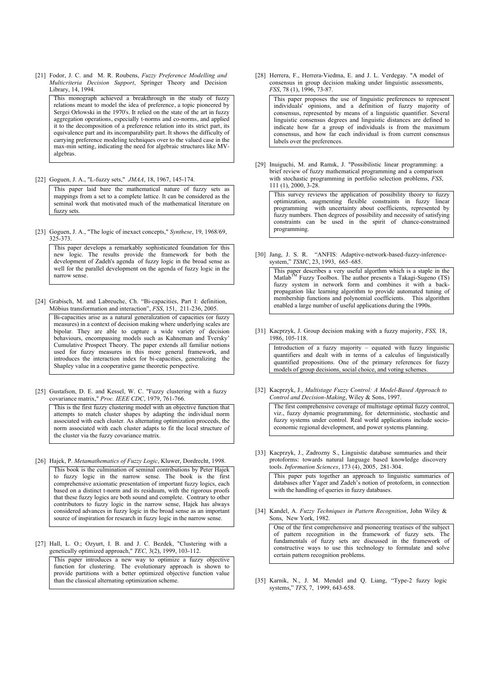[21] Fodor, J. C. and M. R. Roubens, *Fuzzy Preference Modelling and Multicriteria Decision Support*, Springer Theory and Decision Library, 14, 1994.

This monograph achieved a breakthrough in the study of fuzzy relations meant to model the idea of preference, a topic pioneered by Sergei Orlowski in the 1970's. It relied on the state of the art in fuzzy aggregation operations, especially t-norms and co-norms, and applied it to the decomposition of a preference relation into its strict part, its equivalence part and its incomparability part. It shows the difficulty of carrying preference modeling techniques over to the valued case in the max-min setting, indicating the need for algebraic structures like MValgebras.

[22] Goguen, J. A., "L-fuzzy sets," *JMAA*, 18, 1967, 145-174.

This paper laid bare the mathematical nature of fuzzy sets as mappings from a set to a complete lattice. It can be considered as the seminal work that motivated much of the mathematical literature on fuzzy sets.

[23] Goguen, J. A., "The logic of inexact concepts," *Synthese*, 19, 1968/69, 325-373.

This paper develops a remarkably sophisticated foundation for this new logic. The results provide the framework for both the development of Zadeh's agenda of fuzzy logic in the broad sense as well for the parallel development on the agenda of fuzzy logic in the narrow sense.

[24] Grabisch, M. and Labreuche, Ch. "Bi-capacities, Part I: definition, Möbius transformation and interaction", *FSS*, 151, 211-236, 2005.

Bi-capacities arise as a natural generalization of capacities (or fuzzy measures) in a context of decision making where underlying scales are bipolar. They are able to capture a wide variety of decision behaviours, encompassing models such as Kahneman and Tversky' Cumulative Prospect Theory. The paper extends all familiar notions used for fuzzy measures in this more general framework, and introduces the interaction index for bi-capacities, generalizing the Shapley value in a cooperative game theoretic perspective.

[25] Gustafson, D. E. and Kessel, W. C. "Fuzzy clustering with a fuzzy covariance matrix," *Proc. IEEE CDC*, 1979, 761-766.

This is the first fuzzy clustering model with an objective function that attempts to match cluster shapes by adapting the individual norm associated with each cluster. As alternating optimization proceeds, the norm associated with each cluster adapts to fit the local structure of the cluster via the fuzzy covariance matrix.

[26] Hajek, P. *Metamathematics of Fuzzy Logic*, Kluwer, Dordrecht, 1998.

This book is the culmination of seminal contributions by Peter Hajek to fuzzy logic in the narrow sense. The book is the first comprehensive axiomatic presentation of important fuzzy logics, each based on a distinct t-norm and its residuum, with the rigorous proofs that these fuzzy logics are both sound and complete. Contrary to other contributors to fuzzy logic in the narrow sense, Hajek has always considered advances in fuzzy logic in the broad sense as an important source of inspiration for research in fuzzy logic in the narrow sense.

[27] Hall, L. O.; Ozyurt, I. B. and J. C. Bezdek, "Clustering with a genetically optimized approach," *TEC,* 3(2), 1999, 103-112.

This paper introduces a new way to optimize a fuzzy objective function for clustering. The evolutionary approach is shown to provide partitions with a better optimized objective function value than the classical alternating optimization scheme.

[28] Herrera, F., Herrera-Viedma, E. and J. L. Verdegay. "A model of consensus in group decision making under linguistic assessments, *FSS*, 78 (1), 1996, 73-87.

This paper proposes the use of linguistic preferences to represent individuals' opinions, and a definition of fuzzy majority of consensus, represented by means of a linguistic quantifier. Several linguistic consensus degrees and linguistic distances are defined to indicate how far a group of individuals is from the maximum consensus, and how far each individual is from current consensus labels over the preferences.

[29] Inuiguchi, M. and Ramık, J. "Possibilistic linear programming: a brief review of fuzzy mathematical programming and a comparison with stochastic programming in portfolio selection problems, *FSS*, 111 (1), 2000, 3-28.

This survey reviews the application of possibility theory to fuzzy optimization, augmenting flexible constraints in fuzzy linear programming with uncertainty about coefficients, represented by fuzzy numbers. Then degrees of possibility and necessity of satisfying constraints can be used in the spirit of chance-constrained programming.

[30] Jang, J. S. R. "ANFIS: Adaptive-network-based-fuzzy-inferencesystem," *TSMC*, 23, 1993, 665–685.

This paper describes a very useful algorthm which is a staple in the Matlab<sup>TM</sup> Fuzzy Toolbox. The author presents a Takagi-Sugeno (TS) fuzzy system in network form and combines it with a backpropagation like learning algorithm to provide automated tuning of membership functions and polynomial coefficients. This algorithm enabled a large number of useful applications during the 1990s.

[31] Kacprzyk, J. Group decision making with a fuzzy majority, *FSS,* 18, 1986, 105-118.

Introduction of a fuzzy majority – equated with fuzzy linguistic quantifiers and dealt with in terms of a calculus of linguistically quantified propositions. One of the primary references for fuzzy models of group decisions, social choice, and voting schemes.

[32] Kacprzyk, J., *Multistage Fuzzy Control: A Model-Based Approach to Control and Decision-Making*, Wiley & Sons, 1997. The first comprehensive coverage of multistage optimal fuzzy control,

viz., fuzzy dynamic programming, for deterministic, stochastic and fuzzy systems under control. Real world applications include socioeconomic regional development, and power systems planning.

[33] Kacprzyk, J., Zadrozny S., Linguistic database summaries and their protoforms: towards natural language based knowledge discovery tools. *Information Sciences*, 173 (4), 2005, 281-304.

This paper puts together an approach to linguistic summaries of databases after Yager and Zadeh's notion of protoform, in connection with the handling of queries in fuzzy databases.

[34] Kandel, A. *Fuzzy Techniques in Pattern Recognition*, John Wiley & Sons, New York, 1982.

One of the first comprehensive and pioneering treatises of the subject of pattern recognition in the framework of fuzzy sets. The fundamentals of fuzzy sets are discussed in the framework of constructive ways to use this technology to formulate and solve certain pattern recognition problems.

[35] Karnik, N., J. M. Mendel and Q. Liang, "Type-2 fuzzy logic systems," *TFS*, 7, 1999, 643-658.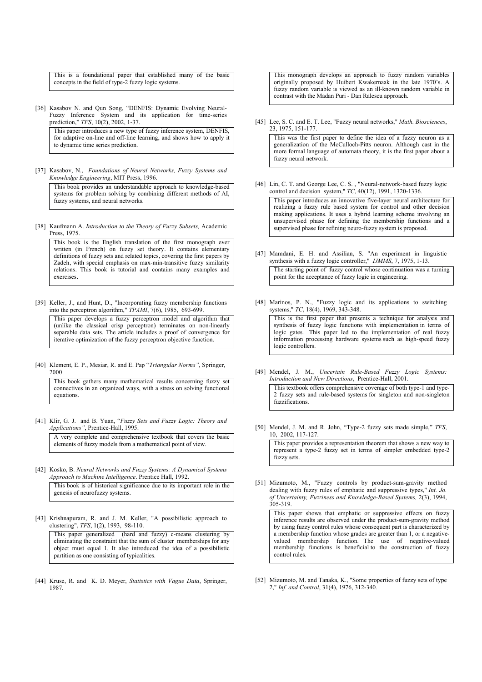This is a foundational paper that established many of the basic concepts in the field of type-2 fuzzy logic systems.

[36] Kasabov N. and Qun Song, "DENFIS: Dynamic Evolving Neural-Fuzzy Inference System and its application for time-series prediction," *TFS*, 10(2), 2002, 1-37.

This paper introduces a new type of fuzzy inference system, DENFIS, for adaptive on-line and off-line learning, and shows how to apply it to dynamic time series prediction.

[37] Kasabov, N., *Foundations of Neural Networks, Fuzzy Systems and Knowledge Engineering*, MIT Press, 1996.

This book provides an understandable approach to knowledge-based systems for problem solving by combining different methods of AI, fuzzy systems, and neural networks.

[38] Kaufmann A. *Introduction to the Theory of Fuzzy Subsets,* Academic Press, 1975.

This book is the English translation of the first monograph ever written (in French) on fuzzy set theory. It contains elementary definitions of fuzzy sets and related topics, covering the first papers by Zadeh, with special emphasis on max-min-transitive fuzzy similarity relations. This book is tutorial and contains many examples and exercises.

[39] Keller, J., and Hunt, D., "Incorporating fuzzy membership functions into the perceptron algorithm," *TPAMI*, 7(6), 1985, 693-699.

This paper develops a fuzzy perceptron model and algorithm that (unlike the classical crisp perceptron) terminates on non-linearly separable data sets. The article includes a proof of convergence for iterative optimization of the fuzzy perceptron objective function.

[40] Klement, E. P., Mesiar, R. and E. Pap "*Triangular Norms"*, Springer, 2000

This book gathers many mathematical results concerning fuzzy set connectives in an organized ways, with a stress on solving functional equations.

[41] Klir, G. J. and B. Yuan, "*Fuzzy Sets and Fuzzy Logic: Theory and Applications"*, Prentice-Hall, 1995.

A very complete and comprehensive textbook that covers the basic elements of fuzzy models from a mathematical point of view.

- [42] Kosko, B. *Neural Networks and Fuzzy Systems: A Dynamical Systems Approach to Machine Intelligence*. Prentice Hall, 1992. This book is of historical significance due to its important role in the genesis of neurofuzzy systems.
- [43] Krishnapuram, R. and J. M. Keller, "A possibilistic approach to clustering", *TFS*, 1(2), 1993, 98-110.

This paper generalized (hard and fuzzy) c-means clustering by eliminating the constraint that the sum of cluster memberships for any object must equal 1. It also introduced the idea of a possibilistic partition as one consisting of typicalities.

[44] Kruse, R. and K. D. Meyer, *Statistics with Vague Data*, Springer, 1987.

This monograph develops an approach to fuzzy random variables originally proposed by Huibert Kwakernaak in the late 1970's. A fuzzy random variable is viewed as an ill-known random variable in contrast with the Madan Puri - Dan Ralescu approach.

[45] Lee, S. C. and E. T. Lee, "Fuzzy neural networks," *Math. Biosciences*, 23, 1975, 151-177.

This was the first paper to define the idea of a fuzzy neuron as a generalization of the McCulloch-Pitts neuron. Although cast in the more formal language of automata theory, it is the first paper about a fuzzy neural network.

- [46] Lin, C. T. and George Lee, C. S., "Neural-network-based fuzzy logic control and decision system," *TC*, 40(12), 1991, 1320-1336. This paper introduces an innovative five-layer neural architecture for realizing a fuzzy rule based system for control and other decision making applications. It uses a hybrid learning scheme involving an unsupervised phase for defining the membership functions and a supervised phase for refining neuro-fuzzy system is proposed.
- [47] Mamdani, E. H. and Assilian, S. "An experiment in linguistic synthesis with a fuzzy logic controller," *IJMMS*, 7, 1975, 1-13. The starting point of fuzzy control whose continuation was a turning point for the acceptance of fuzzy logic in engineering.
- [48] Marinos, P. N., "Fuzzy logic and its applications to switching systems," *TC*, 18(4), 1969, 343-348.

This is the first paper that presents a technique for analysis and synthesis of fuzzy logic functions with implementation in terms of logic gates. This paper led to the implementation of real fuzzy information processing hardware systems such as high-speed fuzzy logic controllers.

[49] Mendel, J. M., *Uncertain Rule-Based Fuzzy Logic Systems: Introduction and New Directions*, Prentice-Hall, 2001.

This textbook offers comprehensive coverage of both type-1 and type-2 fuzzy sets and rule-based systems for singleton and non-singleton fuzzifications.

[50] Mendel, J. M. and R. John, "Type-2 fuzzy sets made simple," *TFS*, 10, 2002, 117-127.

This paper provides a representation theorem that shows a new way to represent a type-2 fuzzy set in terms of simpler embedded type-2 fuzzy sets.

[51] Mizumoto, M., "Fuzzy controls by product-sum-gravity method dealing with fuzzy rules of emphatic and suppressive types," *Int. Jo. of Uncertainty, Fuzziness and Knowledge-Based Systems,* 2(3), 1994, 305-319.

This paper shows that emphatic or suppressive effects on fuzzy inference results are observed under the product-sum-gravity method by using fuzzy control rules whose consequent part is characterized by a membership function whose grades are greater than 1, or a negativevalued membership function. The use of negative-valued membership functions is beneficial to the construction of fuzzy control rules.

[52] Mizumoto, M. and Tanaka, K., "Some properties of fuzzy sets of type 2," *Inf. and Control*, 31(4), 1976, 312-340.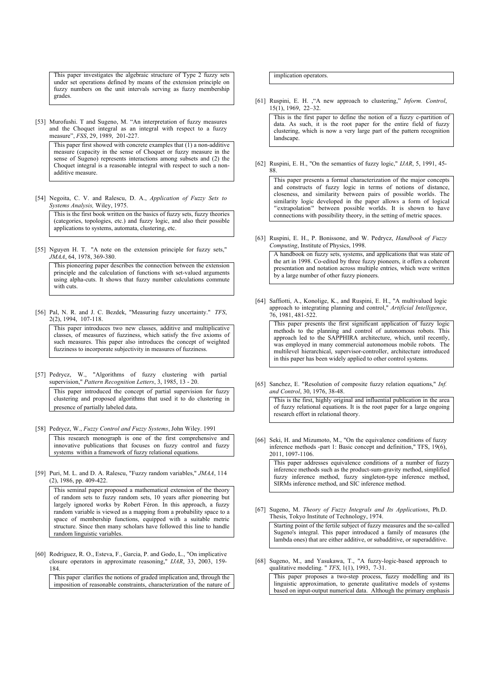This paper investigates the algebraic structure of Type 2 fuzzy sets under set operations defined by means of the extension principle on fuzzy numbers on the unit intervals serving as fuzzy membership grades.

[53] Murofushi. T and Sugeno, M. "An interpretation of fuzzy measures and the Choquet integral as an integral with respect to a fuzzy measure", *FSS*, 29, 1989, 201-227.

This paper first showed with concrete examples that (1) a non-additive measure (capacity in the sense of Choquet or fuzzy measure in the sense of Sugeno) represents interactions among subsets and (2) the Choquet integral is a reasonable integral with respect to such a nonadditive measure.

[54] Negoita, C. V. and Ralescu, D. A., *Application of Fuzzy Sets to Systems Analysis,* Wiley, 1975.

This is the first book written on the basics of fuzzy sets, fuzzy theories (categories, topologies, etc.) and fuzzy logic, and also their possible applications to systems, automata, clustering, etc.

[55] Nguyen H. T. "A note on the extension principle for fuzzy sets," *JMAA*, 64, 1978, 369-380.

This pioneering paper describes the connection between the extension principle and the calculation of functions with set-valued arguments using alpha-cuts. It shows that fuzzy number calculations commute with cuts.

[56] Pal, N. R. and J. C. Bezdek, "Measuring fuzzy uncertainty." *TFS*, 2(2), 1994, 107-118.

This paper introduces two new classes, additive and multiplicative classes, of measures of fuzziness, which satisfy the five axioms of such measures. This paper also introduces the concept of weighted fuzziness to incorporate subjectivity in measures of fuzziness.

- [57] Pedrycz, W., "Algorithms of fuzzy clustering with partial supervision," *Pattern Recognition Letters*, 3, 1985, 13 - 20. This paper introduced the concept of partial supervision for fuzzy clustering and proposed algorithms that used it to do clustering in presence of partially labeled data.
- [58] Pedrycz, W., *Fuzzy Control and Fuzzy Systems*, John Wiley. 1991

This research monograph is one of the first comprehensive and innovative publications that focuses on fuzzy control and fuzzy systems within a framework of fuzzy relational equations.

[59] Puri, M. L. and D. A. Ralescu, "Fuzzy random variables," *JMAA*, 114 (2), 1986, pp. 409-422.

This seminal paper proposed a mathematical extension of the theory of random sets to fuzzy random sets, 10 years after pioneering but largely ignored works by Robert Féron. In this approach, a fuzzy random variable is viewed as a mapping from a probability space to a space of membership functions, equipped with a suitable metric structure. Since then many scholars have followed this line to handle random linguistic variables.

[60] Rodriguez, R. O., Esteva, F., Garcia, P. and Godo, L., "On implicative closure operators in approximate reasoning," *IJAR*, 33, 2003, 159- 184.

This paper clarifies the notions of graded implication and, through the imposition of reasonable constraints, characterization of the nature of implication operators.

[61] Ruspini, E. H. ,"A new approach to clustering," *Inform. Control*, 15(1), 1969, 22–32.

This is the first paper to define the notion of a fuzzy c-partition of data. As such, it is the root paper for the entire field of fuzzy clustering, which is now a very large part of the pattern recognition landscape.

[62] Ruspini, E. H., "On the semantics of fuzzy logic," *IJAR*, 5, 1991, 45- 88.

This paper presents a formal characterization of the major concepts and constructs of fuzzy logic in terms of notions of distance, closeness, and similarity between pairs of possible worlds. The similarity logic developed in the paper allows a form of logical "'extrapolation'" between possible worlds. It is shown to have connections with possibility theory, in the setting of metric spaces.

[63] Ruspini, E. H., P. Bonissone, and W. Pedrycz, *Handbook of Fuzzy Computing*, Institute of Physics, 1998.

A handbook on fuzzy sets, systems, and applications that was state of the art in 1998. Co-edited by three fuzzy pioneers, it offers a coherent presentation and notation across multiple entries, which were written by a large number of other fuzzy pioneers.

[64] Saffiotti, A., Konolige, K., and Ruspini, E. H., "A multivalued logic approach to integrating planning and control," *Artificial Intelligence*, 76, 1981, 481-522.

This paper presents the first significant application of fuzzy logic methods to the planning and control of autonomous robots. This approach led to the SAPPHIRA architecture, which, until recently, was employed in many commercial autonomous mobile robots. The multilevel hierarchical, supervisor-controller, architecture introduced in this paper has been widely applied to other control systems.

[65] Sanchez, E. "Resolution of composite fuzzy relation equations," *Inf. and Control*, 30, 1976, 38-48.

This is the first, highly original and influential publication in the area of fuzzy relational equations. It is the root paper for a large ongoing research effort in relational theory.

[66] Seki, H. and Mizumoto, M., "On the equivalence conditions of fuzzy inference methods -part 1: Basic concept and definition," TFS, 19(6), 2011, 1097-1106.

This paper addresses equivalence conditions of a number of fuzzy inference methods such as the product-sum-gravity method, simplified fuzzy inference method, fuzzy singleton-type inference method, SIRMs inference method, and SIC inference method.

[67] Sugeno, M. *Theory of Fuzzy Integrals and Its Applications*, Ph.D. Thesis, Tokyo Institute of Technology, 1974.

Starting point of the fertile subject of fuzzy measures and the so-called Sugeno's integral. This paper introduced a family of measures (the lambda ones) that are either additive, or subadditive, or superadditive.

[68] Sugeno, M., and Yasukawa, T., "A fuzzy-logic-based approach to qualitative modeling. " *TFS*, 1(1), 1993, 7-31.

This paper proposes a two-step process, fuzzy modelling and its linguistic approximation, to generate qualitative models of systems based on input-output numerical data. Although the primary emphasis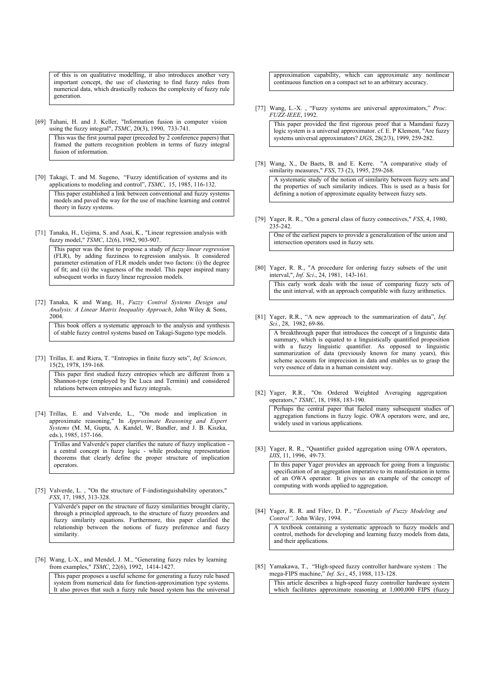of this is on qualitative modelling, it also introduces another very important concept, the use of clustering to find fuzzy rules from numerical data, which drastically reduces the complexity of fuzzy rule generation.

[69] Tahani, H. and J. Keller, "Information fusion in computer vision using the fuzzy integral", *TSMC*, 20(3), 1990, 733-741.

This was the first journal paper (preceded by 2 conference papers) that framed the pattern recognition problem in terms of fuzzy integral fusion of information.

[70] Takagi, T. and M. Sugeno, "Fuzzy identification of systems and its applications to modeling and control", *TSMC*, 15, 1985, 116-132.

This paper established a link between conventional and fuzzy systems models and paved the way for the use of machine learning and control theory in fuzzy systems.

[71] Tanaka, H., Uejima, S. and Asai, K., "Linear regression analysis with fuzzy model," *TSMC*, 12(6), 1982, 903-907.

This paper was the first to propose a study of *fuzzy linear regression* (FLR), by adding fuzziness to regression analysis. It considered parameter estimation of FLR models under two factors: (i) the degree of fit; and (ii) the vagueness of the model. This paper inspired many subsequent works in fuzzy linear regression models.

[72] Tanaka, K and Wang, H., *Fuzzy Control Systems Design and Analysis: A Linear Matrix Inequality Approach*, John Wiley & Sons, 2004.

This book offers a systematic approach to the analysis and synthesis of stable fuzzy control systems based on Takagi-Sugeno type models.

[73] Trillas, E. and Riera, T. "Entropies in finite fuzzy sets", *Inf. Sciences,* 15(2), 1978, 159-168.

This paper first studied fuzzy entropies which are different from a Shannon-type (employed by De Luca and Termini) and considered relations between entropies and fuzzy integrals.

[74] Trillas, E. and Valverde, L., "On mode and implication in approximate reasoning," In *Approximate Reasoning and Expert Systems* (M. M, Gupta, A. Kandel, W, Bandler, and J. B. Kiszka, eds.), 1985, 157-166.

Trillas and Valverde's paper clarifies the nature of fuzzy implication a central concept in fuzzy logic - while producing representation theorems that clearly define the proper structure of implication operators.

[75] Valverde, L., "On the structure of F-indistinguishability operators," *FSS*, 17, 1985, 313-328.

Valverde's paper on the structure of fuzzy similarities brought clarity, through a principled approach, to the structure of fuzzy preorders and fuzzy similarity equations. Furthermore, this paper clarified the relationship between the notions of fuzzy preference and fuzzy similarity.

[76] Wang, L-X., and Mendel, J. M., "Generating fuzzy rules by learning from examples," *TSMC*, 22(6), 1992, 1414-1427.

This paper proposes a useful scheme for generating a fuzzy rule based system from numerical data for function-approximation type systems. It also proves that such a fuzzy rule based system has the universal

approximation capability, which can approximate any nonlinear continuous function on a compact set to an arbitrary accuracy.

[77] Wang, L.-X. , "Fuzzy systems are universal approximators," *Proc. FUZZ-IEEE*, 1992.

This paper provided the first rigorous proof that a Mamdani fuzzy logic system is a universal approximator. cf. E. P Klement, "Are fuzzy systems universal approximators? *IJGS*, 28(2/3), 1999, 259-282.

[78] Wang, X., De Baets, B. and E. Kerre. "A comparative study of similarity measures," *FSS*, 73 (2), 1995, 259-268.

A systematic study of the notion of similarity between fuzzy sets and the properties of such similarity indices. This is used as a basis for defining a notion of approximate equality between fuzzy sets.

[79] Yager, R. R., "On a general class of fuzzy connectives," *FSS*, 4, 1980, 235-242.

One of the earliest papers to provide a generalization of the union and intersection operators used in fuzzy sets.

[80] Yager, R. R., "A procedure for ordering fuzzy subsets of the unit interval,", *Inf. Sci*., 24, 1981, 143-161.

This early work deals with the issue of comparing fuzzy sets of the unit interval, with an approach compatible with fuzzy arithmetics.

[81] Yager, R.R., "A new approach to the summarization of data", *Inf. Sci.*, 28, 1982, 69-86.

A breakthrough paper that introduces the concept of a linguistic data summary, which is equated to a linguistically quantified proposition with a fuzzy linguistic quantifier. As opposed to linguistic summarization of data (previously known for many years), this scheme accounts for imprecision in data and enables us to grasp the very essence of data in a human consistent way.

[82] Yager, R.R., "On Ordered Weighted Averaging aggregation operators," *TSMC*, 18, 1988, 183-190.

Perhaps the central paper that fueled many subsequent studies of aggregation functions in fuzzy logic. OWA operators were, and are, widely used in various applications.

[83] Yager, R. R., "Quantifier guided aggregation using OWA operators, *IJIS*, 11, 1996, 49-73.

In this paper Yager provides an approach for going from a linguistic specification of an aggregation imperative to its manifestation in terms of an OWA operator. It gives us an example of the concept of computing with words applied to aggregation.

[84] Yager, R. R. and Filev, D. P., "*Essentials of Fuzzy Modeling and Control",* John Wiley, 1994.

A textbook containing a systematic approach to fuzzy models and control, methods for developing and learning fuzzy models from data, and their applications.

[85] Yamakawa, T., "High-speed fuzzy controller hardware system : The mega-FIPS machine," *Inf. Sci*., 45, 1988, 113-128. This article describes a high-speed fuzzy controller hardware system which facilitates approximate reasoning at 1,000,000 FIPS (fuzzy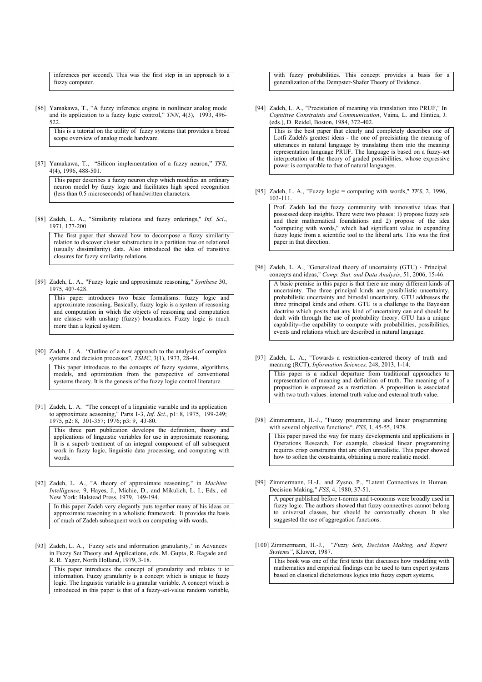inferences per second). This was the first step in an approach to a fuzzy computer.

[86] Yamakawa, T., "A fuzzy inference engine in nonlinear analog mode and its application to a fuzzy logic control," *TNN*, 4(3), 1993, 496- 522.

This is a tutorial on the utility of fuzzy systems that provides a broad scope overview of analog mode hardware.

[87] Yamakawa, T., "Silicon implementation of a fuzzy neuron," *TFS*, 4(4), 1996, 488-501.

This paper describes a fuzzy neuron chip which modifies an ordinary neuron model by fuzzy logic and facilitates high speed recognition (less than 0.5 microseconds) of handwritten characters.

[88] Zadeh, L. A., "Similarity relations and fuzzy orderings," *Inf. Sci*., 1971, 177-200.

The first paper that showed how to decompose a fuzzy similarity relation to discover cluster substructure in a partition tree on relational (usually dissimilarity) data. Also introduced the idea of transitive closures for fuzzy similarity relations.

[89] Zadeh, L. A., "Fuzzy logic and approximate reasoning," *Synthese* 30, 1975, 407-428.

This paper introduces two basic formalisms: fuzzy logic and approximate reasoning. Basically, fuzzy logic is a system of reasoning and computation in which the objects of reasoning and computation are classes with unsharp (fuzzy) boundaries. Fuzzy logic is much more than a logical system.

[90] Zadeh, L. A. "Outline of a new approach to the analysis of complex systems and decision processes", *TSMC*, 3(1), 1973, 28-44.

This paper introduces to the concepts of fuzzy systems, algorithms, models, and optimization from the perspective of conventional systems theory. It is the genesis of the fuzzy logic control literature.

[91] Zadeh, L. A. "The concept of a linguistic variable and its application to approximate aeasoning," Parts 1-3, *Inf. Sci*., p1: 8, 1975, 199-249; 1975, p2: 8, 301-357; 1976; p3: 9, 43-80.

This three part publication develops the definition, theory and applications of linguistic variables for use in approximate reasoning. It is a superb treatment of an integral component of all subsequent work in fuzzy logic, linguistic data processing, and computing with words.

[92] Zadeh, L. A., "A theory of approximate reasoning," in *Machine Intelligence,* 9, Hayes, J., Michie, D., and Mikulich, L. I., Eds., ed New York: Halstead Press, 1979, 149-194.

In this paper Zadeh very elegantly puts together many of his ideas on approximate reasoning in a wholistic framework. It provides the basis of much of Zadeh subsequent work on computing with words.

[93] Zadeh, L. A., "Fuzzy sets and information granularity," in Advances in Fuzzy Set Theory and Applications, eds. M. Gupta, R. Ragade and R. R. Yager, North Holland, 1979, 3-18.

This paper introduces the concept of granularity and relates it to information. Fuzzy granularity is a concept which is unique to fuzzy logic. The linguistic variable is a granular variable. A concept which is introduced in this paper is that of a fuzzy-set-value random variable,

with fuzzy probabilities. This concept provides a basis for a generalization of the Dempster-Shafer Theory of Evidence.

- [94] Zadeh, L. A., "Precisiation of meaning via translation into PRUF," In *Cognitive Constraints and Communication*, Vaina, L. and Hintica, J. (eds.), D. Reidel, Boston, 1984, 372-402. This is the best paper that clearly and completely describes one of Lotfi Zadeh's greatest ideas - the one of precisiating the meaning of utterances in natural language by translating them into the meaning representation language PRUF. The language is based on a fuzzy-set interpretation of the theory of graded possibilities, whose expressive power is comparable to that of natural languages.
- [95] Zadeh, L. A., "Fuzzy logic = computing with words," *TFS*, 2, 1996, 103-111.

Prof. Zadeh led the fuzzy community with innovative ideas that possessed deep insights. There were two phases: 1) propose fuzzy sets and their mathematical foundations and 2) propose of the idea "computing with words," which had significant value in expanding fuzzy logic from a scientific tool to the liberal arts. This was the first paper in that direction.

[96] Zadeh, L. A., "Generalized theory of uncertainty (GTU) - Principal concepts and ideas," *Comp. Stat. and Data Analysis*, 51, 2006, 15-46.

A basic premise in this paper is that there are many different kinds of uncertainty. The three principal kinds are possibilistic uncertainty, probabilistic uncertainty and bimodal uncertainty. GTU addresses the three principal kinds and others. GTU is a challenge to the Bayesian doctrine which posits that any kind of uncertainty can and should be dealt with through the use of probability theory. GTU has a unique capability--the capability to compute with probabilities, possibilities, events and relations which are described in natural language.

[97] Zadeh, L. A., "Towards a restriction-centered theory of truth and meaning (RCT), *Information Sciences,* 248, 2013, 1-14.

This paper is a radical departure from traditional approaches to representation of meaning and definition of truth. The meaning of a proposition is expressed as a restriction. A proposition is associated with two truth values: internal truth value and external truth value.

[98] Zimmermann, H.-J., "Fuzzy programming and linear programming with several objective functions". *FSS*, 1, 45-55, 1978.

This paper paved the way for many developments and applications in Operations Research. For example, classical linear programming requires crisp constraints that are often unrealistic. This paper showed how to soften the constraints, obtaining a more realistic model.

[99] Zimmermann, H.-J.. and Zysno, P., "Latent Connectives in Human Decision Making," *FSS*, 4, 1980, 37-51.

A paper published before t-norms and t-conorms were broadly used in fuzzy logic. The authors showed that fuzzy connectives cannot belong to universal classes, but should be contextually chosen. It also suggested the use of aggregation functions.

[100] Zimmermann, H.-J., "*Fuzzy Sets, Decision Making, and Expert Systems"*, Kluwer, 1987.

This book was one of the first texts that discusses how modeling with mathematics and empirical findings can be used to turn expert systems based on classical dichotomous logics into fuzzy expert systems.